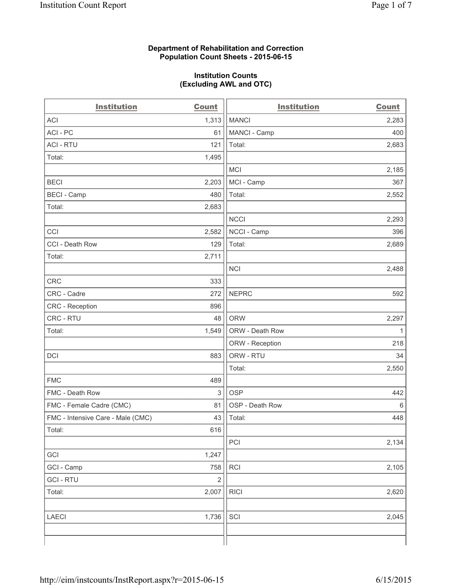## **Department of Rehabilitation and Correction Population Count Sheets - 2015-06-15**

## **Institution Counts (Excluding AWL and OTC)**

| <b>Institution</b>                | <b>Count</b>   | <b>Institution</b> | <b>Count</b> |
|-----------------------------------|----------------|--------------------|--------------|
| <b>ACI</b>                        | 1,313          | <b>MANCI</b>       | 2,283        |
| ACI - PC                          | 61             | MANCI - Camp       | 400          |
| <b>ACI - RTU</b>                  | 121            | Total:             | 2,683        |
| Total:                            | 1,495          |                    |              |
|                                   |                | <b>MCI</b>         | 2,185        |
| <b>BECI</b>                       | 2,203          | MCI - Camp         | 367          |
| <b>BECI</b> - Camp                | 480            | Total:             | 2,552        |
| Total:                            | 2,683          |                    |              |
|                                   |                | <b>NCCI</b>        | 2,293        |
| CCI                               | 2,582          | NCCI - Camp        | 396          |
| CCI - Death Row                   | 129            | Total:             | 2,689        |
| Total:                            | 2,711          |                    |              |
|                                   |                | <b>NCI</b>         | 2,488        |
| CRC                               | 333            |                    |              |
| CRC - Cadre                       | 272            | <b>NEPRC</b>       | 592          |
| <b>CRC</b> - Reception            | 896            |                    |              |
| CRC - RTU                         | 48             | <b>ORW</b>         | 2,297        |
| Total:                            | 1,549          | ORW - Death Row    | $\mathbf{1}$ |
|                                   |                | ORW - Reception    | 218          |
| DCI                               | 883            | ORW - RTU          | 34           |
|                                   |                | Total:             | 2,550        |
| <b>FMC</b>                        | 489            |                    |              |
| FMC - Death Row                   | 3              | <b>OSP</b>         | 442          |
| FMC - Female Cadre (CMC)          | 81             | OSP - Death Row    | $\,6\,$      |
| FMC - Intensive Care - Male (CMC) | 43             | Total:             | 448          |
| Total:                            | 616            |                    |              |
|                                   |                | PCI                | 2,134        |
| GCI                               | 1,247          |                    |              |
| GCI - Camp                        | 758            | RCI                | 2,105        |
| <b>GCI - RTU</b>                  | $\overline{2}$ |                    |              |
| Total:                            | 2,007          | <b>RICI</b>        | 2,620        |
|                                   |                |                    |              |
| LAECI                             | 1,736          | SCI                | 2,045        |
|                                   |                |                    |              |
|                                   |                |                    |              |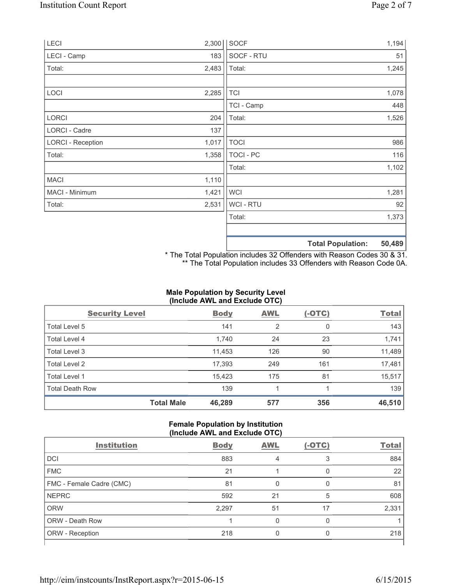| LECI                     | 2,300 | SOCF             |                          | 1,194  |
|--------------------------|-------|------------------|--------------------------|--------|
| LECI - Camp              | 183   | SOCF - RTU       |                          | 51     |
| Total:                   | 2,483 | Total:           |                          | 1,245  |
|                          |       |                  |                          |        |
| LOCI                     | 2,285 | <b>TCI</b>       |                          | 1,078  |
|                          |       | TCI - Camp       |                          | 448    |
| LORCI                    | 204   | Total:           |                          | 1,526  |
| LORCI - Cadre            | 137   |                  |                          |        |
| <b>LORCI - Reception</b> | 1,017 | <b>TOCI</b>      |                          | 986    |
| Total:                   | 1,358 | <b>TOCI - PC</b> |                          | 116    |
|                          |       | Total:           |                          | 1,102  |
| <b>MACI</b>              | 1,110 |                  |                          |        |
| MACI - Minimum           | 1,421 | <b>WCI</b>       |                          | 1,281  |
| Total:                   | 2,531 | <b>WCI-RTU</b>   |                          | 92     |
|                          |       | Total:           |                          | 1,373  |
|                          |       |                  |                          |        |
|                          |       |                  | <b>Total Population:</b> | 50,489 |

\* The Total Population includes 32 Offenders with Reason Codes 30 & 31. \*\* The Total Population includes 33 Offenders with Reason Code 0A.

# **Male Population by Security Level (Include AWL and Exclude OTC)**

| <b>Security Level</b>  |                   | <b>Body</b> | <b>AWL</b> | $(-OTC)$ | <b>Total</b> |
|------------------------|-------------------|-------------|------------|----------|--------------|
| Total Level 5          |                   | 141         | 2          | 0        | 143          |
| <b>Total Level 4</b>   |                   | 1,740       | 24         | 23       | 1,741        |
| Total Level 3          |                   | 11,453      | 126        | 90       | 11,489       |
| Total Level 2          |                   | 17,393      | 249        | 161      | 17,481       |
| Total Level 1          |                   | 15,423      | 175        | 81       | 15,517       |
| <b>Total Death Row</b> |                   | 139         |            |          | 139          |
|                        | <b>Total Male</b> | 46,289      | 577        | 356      | 46,510       |

### **Female Population by Institution (Include AWL and Exclude OTC)**

| ,                        |             |            |          |              |
|--------------------------|-------------|------------|----------|--------------|
| <b>Institution</b>       | <b>Body</b> | <b>AWL</b> | $(-OTC)$ | <b>Total</b> |
| DCI                      | 883         |            | 3        | 884          |
| <b>FMC</b>               | 21          |            |          | 22           |
| FMC - Female Cadre (CMC) | 81          |            |          | 81           |
| <b>NEPRC</b>             | 592         | 21         | 5        | 608          |
| <b>ORW</b>               | 2,297       | 51         | 17       | 2,331        |
| <b>ORW - Death Row</b>   |             |            | O        |              |
| ORW - Reception          | 218         |            |          | 218          |
|                          |             |            |          |              |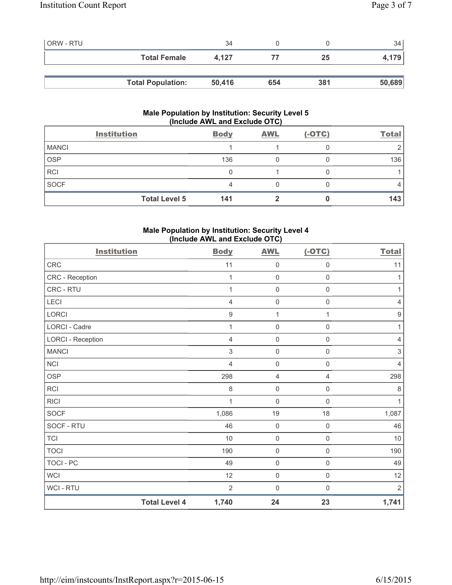| <b>ORW - RTU</b> |                          | 34     |     |     | 34     |
|------------------|--------------------------|--------|-----|-----|--------|
|                  | <b>Total Female</b>      | 4.127  |     | 25  | 4,179  |
|                  |                          |        |     |     |        |
|                  | <b>Total Population:</b> | 50,416 | 654 | 381 | 50,689 |

# **Male Population by Institution: Security Level 5 (Include AWL and Exclude OTC)**

|              | <b>Institution</b>   | <b>Body</b> | <b>AWL</b> | $(-OTC)$ | <b>Total</b> |
|--------------|----------------------|-------------|------------|----------|--------------|
| <b>MANCI</b> |                      |             |            |          |              |
| <b>OSP</b>   |                      | 136         |            |          | 136          |
| <b>RCI</b>   |                      |             |            |          |              |
| <b>SOCF</b>  |                      |             |            |          |              |
|              | <b>Total Level 5</b> | 141         |            |          | 143          |

## **Male Population by Institution: Security Level 4 (Include AWL and Exclude OTC)**

| <b>Institution</b>       |                      | <b>Body</b>      | <b>AWL</b>  | $(-OTC)$            | <b>Total</b>              |
|--------------------------|----------------------|------------------|-------------|---------------------|---------------------------|
| CRC                      |                      | 11               | $\mathbf 0$ | $\mathsf{O}\xspace$ | 11                        |
| CRC - Reception          |                      | 1                | $\mathbf 0$ | $\mathsf 0$         | 1                         |
| CRC - RTU                |                      | 1                | $\mathbf 0$ | $\mathbf 0$         | 1                         |
| LECI                     |                      | $\overline{4}$   | $\mathbf 0$ | $\mathsf 0$         | $\overline{4}$            |
| LORCI                    |                      | $\boldsymbol{9}$ | 1           | 1                   | $\boldsymbol{9}$          |
| LORCI - Cadre            |                      | 1                | $\mathbf 0$ | $\mathsf{O}\xspace$ | 1                         |
| <b>LORCI - Reception</b> |                      | 4                | 0           | $\mathsf{O}\xspace$ | $\overline{4}$            |
| <b>MANCI</b>             |                      | 3                | $\mathbf 0$ | $\mathsf{O}\xspace$ | $\ensuremath{\mathsf{3}}$ |
| <b>NCI</b>               |                      | $\overline{4}$   | $\mathbf 0$ | $\mathsf 0$         | $\overline{4}$            |
| <b>OSP</b>               |                      | 298              | 4           | 4                   | 298                       |
| <b>RCI</b>               |                      | 8                | $\mathbf 0$ | $\mathsf{O}\xspace$ | $\,8\,$                   |
| <b>RICI</b>              |                      | 1                | $\mathbf 0$ | $\mathbf 0$         | 1                         |
| SOCF                     |                      | 1,086            | 19          | $18$                | 1,087                     |
| SOCF - RTU               |                      | 46               | $\mathbf 0$ | $\mathsf{O}\xspace$ | 46                        |
| <b>TCI</b>               |                      | 10               | $\mathbf 0$ | $\mathsf{O}\xspace$ | 10                        |
| <b>TOCI</b>              |                      | 190              | $\mathbf 0$ | $\mathsf{O}\xspace$ | 190                       |
| <b>TOCI - PC</b>         |                      | 49               | $\mathbf 0$ | $\mathsf{O}\xspace$ | 49                        |
| <b>WCI</b>               |                      | 12               | $\mathbf 0$ | $\mathsf{O}\xspace$ | 12                        |
| WCI - RTU                |                      | $\overline{2}$   | $\mathbf 0$ | $\mathsf{O}\xspace$ | $\sqrt{2}$                |
|                          | <b>Total Level 4</b> | 1,740            | 24          | 23                  | 1,741                     |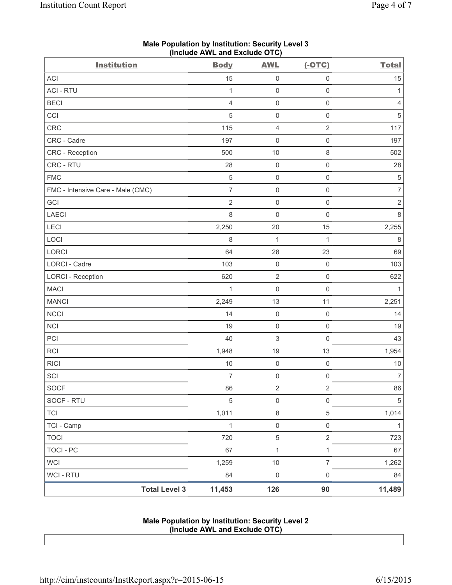| <b>Institution</b>                | <b>Body</b>    | <b>AWL</b>                | $(-OTC)$            | <b>Total</b>     |
|-----------------------------------|----------------|---------------------------|---------------------|------------------|
| ACI                               | 15             | $\mathsf{O}\xspace$       | $\mathbf 0$         | 15               |
| <b>ACI - RTU</b>                  | $\mathbf{1}$   | $\mathsf{O}\xspace$       | $\mathsf{O}\xspace$ | 1                |
| <b>BECI</b>                       | $\overline{4}$ | $\mathsf{O}\xspace$       | $\mathsf{O}\xspace$ | $\overline{4}$   |
| CCI                               | 5              | $\mathsf 0$               | $\mathsf{O}\xspace$ | 5                |
| CRC                               | 115            | 4                         | $\sqrt{2}$          | 117              |
| CRC - Cadre                       | 197            | $\mathsf{O}\xspace$       | $\mathsf{O}\xspace$ | 197              |
| CRC - Reception                   | 500            | 10                        | $\,8\,$             | 502              |
| CRC - RTU                         | 28             | $\mathsf{O}\xspace$       | $\mathsf{O}\xspace$ | 28               |
| <b>FMC</b>                        | $\sqrt{5}$     | $\mathsf 0$               | $\mathsf{O}\xspace$ | $\,$ 5 $\,$      |
| FMC - Intensive Care - Male (CMC) | $\overline{7}$ | $\mathsf{O}\xspace$       | $\mathsf{O}\xspace$ | $\overline{7}$   |
| GCI                               | $\sqrt{2}$     | $\mathsf{O}\xspace$       | $\mathsf{O}\xspace$ | $\sqrt{2}$       |
| <b>LAECI</b>                      | 8              | $\mathsf{O}\xspace$       | $\mathsf{O}\xspace$ | $\,8\,$          |
| LECI                              | 2,250          | 20                        | 15                  | 2,255            |
| LOCI                              | 8              | $\mathbf{1}$              | $\mathbf{1}$        | $\,8\,$          |
| LORCI                             | 64             | 28                        | 23                  | 69               |
| LORCI - Cadre                     | 103            | $\mathsf{O}\xspace$       | $\mathbf 0$         | 103              |
| <b>LORCI - Reception</b>          | 620            | $\sqrt{2}$                | $\mathsf 0$         | 622              |
| <b>MACI</b>                       | 1              | $\mathsf{O}\xspace$       | $\mathsf{O}\xspace$ | $\mathbf{1}$     |
| <b>MANCI</b>                      | 2,249          | 13                        | 11                  | 2,251            |
| <b>NCCI</b>                       | 14             | $\mathsf{O}\xspace$       | $\mathsf{O}\xspace$ | 14               |
| <b>NCI</b>                        | 19             | $\mathsf 0$               | $\mathsf{O}\xspace$ | 19               |
| PCI                               | 40             | $\ensuremath{\mathsf{3}}$ | $\mathsf 0$         | 43               |
| RCI                               | 1,948          | 19                        | 13                  | 1,954            |
| <b>RICI</b>                       | $10$           | $\mathsf 0$               | $\mathsf 0$         | $10$             |
| SCI                               | $\overline{7}$ | $\mathsf{O}\xspace$       | $\mathsf 0$         | $\boldsymbol{7}$ |
| SOCF                              | 86             | $\sqrt{2}$                | $\sqrt{2}$          | $86\,$           |
| SOCF - RTU                        | $\sqrt{5}$     | $\mathsf 0$               | $\mathsf 0$         | $\overline{5}$   |
| <b>TCI</b>                        | 1,011          | $\,8\,$                   | 5                   | 1,014            |
| TCI - Camp                        | $\mathbf{1}$   | $\mathsf{O}\xspace$       | $\mathsf{O}\xspace$ | $\mathbf{1}$     |
| <b>TOCI</b>                       | 720            | 5                         | $\overline{2}$      | 723              |
| <b>TOCI - PC</b>                  | 67             | $\mathbf{1}$              | $\mathbf{1}$        | 67               |
| <b>WCI</b>                        | 1,259          | $10$                      | $\overline{7}$      | 1,262            |
| WCI - RTU                         | 84             | $\mathsf{0}$              | $\mathsf{O}\xspace$ | 84               |
| <b>Total Level 3</b>              | 11,453         | 126                       | 90                  | 11,489           |

## **Male Population by Institution: Security Level 3 (Include AWL and Exclude OTC)**

### **Male Population by Institution: Security Level 2 (Include AWL and Exclude OTC)**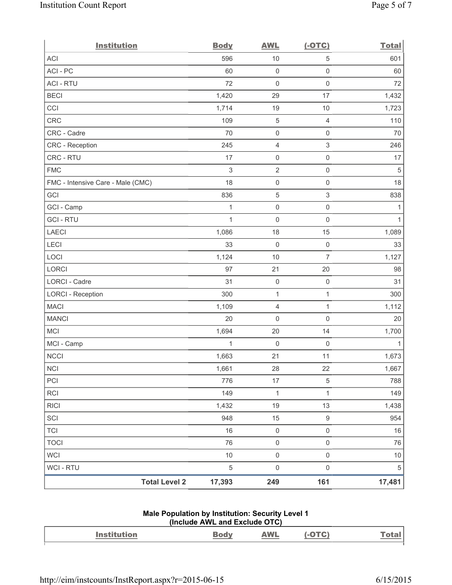| <b>Institution</b>                | <b>Body</b>  | <b>AWL</b>          | $(-OTC)$                  | <b>Total</b> |
|-----------------------------------|--------------|---------------------|---------------------------|--------------|
| <b>ACI</b>                        | 596          | 10                  | 5                         | 601          |
| ACI-PC                            | 60           | $\mathsf{O}\xspace$ | $\mathbf 0$               | 60           |
| <b>ACI - RTU</b>                  | 72           | $\mathsf{O}\xspace$ | $\mathsf 0$               | 72           |
| <b>BECI</b>                       | 1,420        | 29                  | 17                        | 1,432        |
| CCI                               | 1,714        | 19                  | 10                        | 1,723        |
| CRC                               | 109          | 5                   | $\overline{4}$            | 110          |
| CRC - Cadre                       | 70           | $\mathsf{O}\xspace$ | $\mathsf{O}\xspace$       | 70           |
| CRC - Reception                   | 245          | $\overline{4}$      | $\sqrt{3}$                | 246          |
| CRC - RTU                         | 17           | $\mathsf 0$         | $\mathsf 0$               | 17           |
| <b>FMC</b>                        | $\,$ 3 $\,$  | $\mathbf 2$         | $\mathsf 0$               | $\,$ 5 $\,$  |
| FMC - Intensive Care - Male (CMC) | 18           | $\mathsf 0$         | $\mathsf 0$               | 18           |
| GCI                               | 836          | $\mathbf 5$         | $\ensuremath{\mathsf{3}}$ | 838          |
| GCI - Camp                        | $\mathbf{1}$ | $\mathsf{O}\xspace$ | $\mathsf 0$               | $\mathbf{1}$ |
| <b>GCI-RTU</b>                    | $\mathbf{1}$ | $\mathsf 0$         | $\mathsf 0$               | $\mathbf{1}$ |
| <b>LAECI</b>                      | 1,086        | 18                  | 15                        | 1,089        |
| LECI                              | 33           | $\mathsf{O}\xspace$ | $\mathsf 0$               | 33           |
| LOCI                              | 1,124        | 10                  | $\overline{7}$            | 1,127        |
| LORCI                             | 97           | 21                  | 20                        | 98           |
| LORCI - Cadre                     | 31           | $\mathsf{O}\xspace$ | $\mathsf 0$               | 31           |
| <b>LORCI - Reception</b>          | 300          | 1                   | $\mathbf{1}$              | 300          |
| <b>MACI</b>                       | 1,109        | $\overline{4}$      | $\mathbf{1}$              | 1,112        |
| <b>MANCI</b>                      | 20           | 0                   | $\mathbf 0$               | 20           |
| MCI                               | 1,694        | 20                  | 14                        | 1,700        |
| MCI - Camp                        | 1            | $\mathsf 0$         | $\mathsf{O}\xspace$       | $\mathbf{1}$ |
| <b>NCCI</b>                       | 1,663        | 21                  | 11                        | 1,673        |
| $\sf NCI$                         | 1,661        | 28                  | 22                        | 1,667        |
| PCI                               | 776          | 17                  | 5                         | 788          |
| <b>RCI</b>                        | 149          | $\mathbf{1}$        | $\mathbf{1}$              | 149          |
| <b>RICI</b>                       | 1,432        | 19                  | 13                        | 1,438        |
| SCI                               | 948          | 15                  | $9\,$                     | 954          |
| <b>TCI</b>                        | 16           | $\mathsf{O}\xspace$ | $\mathsf{O}\xspace$       | 16           |
| <b>TOCI</b>                       | 76           | $\mathsf{O}\xspace$ | $\mathbf 0$               | 76           |
| <b>WCI</b>                        | 10           | $\mathsf{O}\xspace$ | $\mathsf{O}\xspace$       | $10$         |
| WCI - RTU                         | $\sqrt{5}$   | $\mathsf{O}\xspace$ | $\mathsf{O}\xspace$       | $\sqrt{5}$   |
| <b>Total Level 2</b>              | 17,393       | 249                 | 161                       | 17,481       |

## **Male Population by Institution: Security Level 1 (Include AWL and Exclude OTC)**

| Institution | $\sim$ | <b>AWL</b><br>$\frac{1}{2} \left( \frac{1}{2} \right) \left( \frac{1}{2} \right) \left( \frac{1}{2} \right) \left( \frac{1}{2} \right) \left( \frac{1}{2} \right) \left( \frac{1}{2} \right) \left( \frac{1}{2} \right) \left( \frac{1}{2} \right) \left( \frac{1}{2} \right) \left( \frac{1}{2} \right) \left( \frac{1}{2} \right) \left( \frac{1}{2} \right) \left( \frac{1}{2} \right) \left( \frac{1}{2} \right) \left( \frac{1}{2} \right) \left( \frac{1}{2} \right) \left( \frac$ | - | <b>Lai</b> |
|-------------|--------|------------------------------------------------------------------------------------------------------------------------------------------------------------------------------------------------------------------------------------------------------------------------------------------------------------------------------------------------------------------------------------------------------------------------------------------------------------------------------------------|---|------------|
|             |        |                                                                                                                                                                                                                                                                                                                                                                                                                                                                                          |   |            |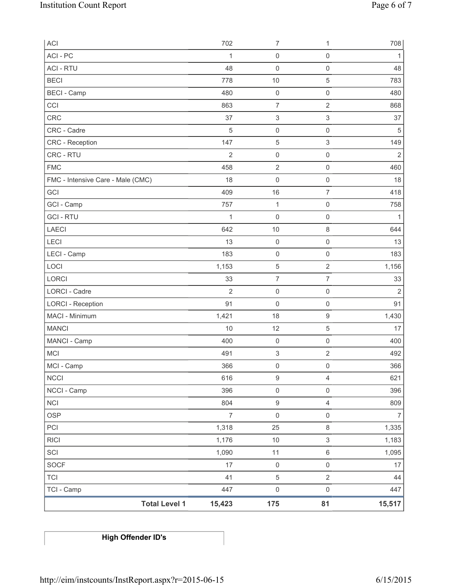| ACI                               | 702            | $\overline{7}$            | 1                         | 708            |
|-----------------------------------|----------------|---------------------------|---------------------------|----------------|
| ACI - PC                          | 1              | $\mathsf{O}\xspace$       | $\mathsf{O}\xspace$       | 1              |
| <b>ACI - RTU</b>                  | 48             | $\mathsf{O}\xspace$       | $\mathsf 0$               | 48             |
| <b>BECI</b>                       | 778            | 10                        | $\sqrt{5}$                | 783            |
| <b>BECI</b> - Camp                | 480            | $\mathsf{O}\xspace$       | $\mathsf 0$               | 480            |
| CCI                               | 863            | $\overline{7}$            | $\sqrt{2}$                | 868            |
| CRC                               | 37             | $\ensuremath{\mathsf{3}}$ | $\ensuremath{\mathsf{3}}$ | 37             |
| CRC - Cadre                       | $\sqrt{5}$     | $\mathsf{O}\xspace$       | $\mathsf 0$               | 5              |
| <b>CRC</b> - Reception            | 147            | 5                         | $\ensuremath{\mathsf{3}}$ | 149            |
| CRC - RTU                         | $\overline{2}$ | $\mathsf{O}\xspace$       | $\mathsf 0$               | $\overline{2}$ |
| <b>FMC</b>                        | 458            | $\mathbf 2$               | $\mathsf{O}\xspace$       | 460            |
| FMC - Intensive Care - Male (CMC) | 18             | $\mathsf{O}\xspace$       | $\mathsf 0$               | 18             |
| GCI                               | 409            | 16                        | $\overline{7}$            | 418            |
| GCI - Camp                        | 757            | $\mathbf{1}$              | $\mathbf 0$               | 758            |
| <b>GCI-RTU</b>                    | $\mathbf{1}$   | 0                         | $\mathsf{O}\xspace$       | 1              |
| <b>LAECI</b>                      | 642            | 10                        | $\,8\,$                   | 644            |
| LECI                              | 13             | $\mathsf 0$               | $\mathsf 0$               | 13             |
| LECI - Camp                       | 183            | $\mathsf{O}\xspace$       | $\mathbf 0$               | 183            |
| LOCI                              | 1,153          | 5                         | $\sqrt{2}$                | 1,156          |
| LORCI                             | 33             | $\overline{7}$            | $\overline{7}$            | 33             |
| LORCI - Cadre                     | $\overline{2}$ | $\mathsf{O}\xspace$       | $\mathsf{O}\xspace$       | $\overline{2}$ |
| <b>LORCI - Reception</b>          | 91             | $\mathsf{O}\xspace$       | $\mathsf{O}\xspace$       | 91             |
| MACI - Minimum                    | 1,421          | 18                        | $\hbox{9}$                | 1,430          |
| <b>MANCI</b>                      | 10             | 12                        | 5                         | 17             |
| MANCI - Camp                      | 400            | $\mathbf 0$               | $\mathbf 0$               | 400            |
| <b>MCI</b>                        | 491            | 3                         | $\overline{2}$            | 492            |
| MCI - Camp                        | 366            | $\mathsf 0$               | $\mathsf{O}\xspace$       | 366            |
| <b>NCCI</b>                       | 616            | $\boldsymbol{9}$          | $\overline{4}$            | 621            |
| NCCI - Camp                       | 396            | $\mathsf{O}\xspace$       | $\mathsf{O}\xspace$       | 396            |
| <b>NCI</b>                        | 804            | $\boldsymbol{9}$          | $\overline{4}$            | 809            |
| <b>OSP</b>                        | $\overline{7}$ | $\mathsf{O}\xspace$       | $\mathsf 0$               | $\overline{7}$ |
| PCI                               | 1,318          | 25                        | $\,8\,$                   | 1,335          |
| <b>RICI</b>                       | 1,176          | $10$                      | 3                         | 1,183          |
| SCI                               | 1,090          | 11                        | $\,6\,$                   | 1,095          |
| <b>SOCF</b>                       | 17             | $\mathsf{O}\xspace$       | $\mathsf 0$               | 17             |
| <b>TCI</b>                        | 41             | $\sqrt{5}$                | $\overline{2}$            | 44             |
| TCI - Camp                        | 447            | $\mathsf{O}\xspace$       | $\mathsf 0$               | 447            |
| <b>Total Level 1</b>              | 15,423         | 175                       | 81                        | 15,517         |

**High Offender ID's**